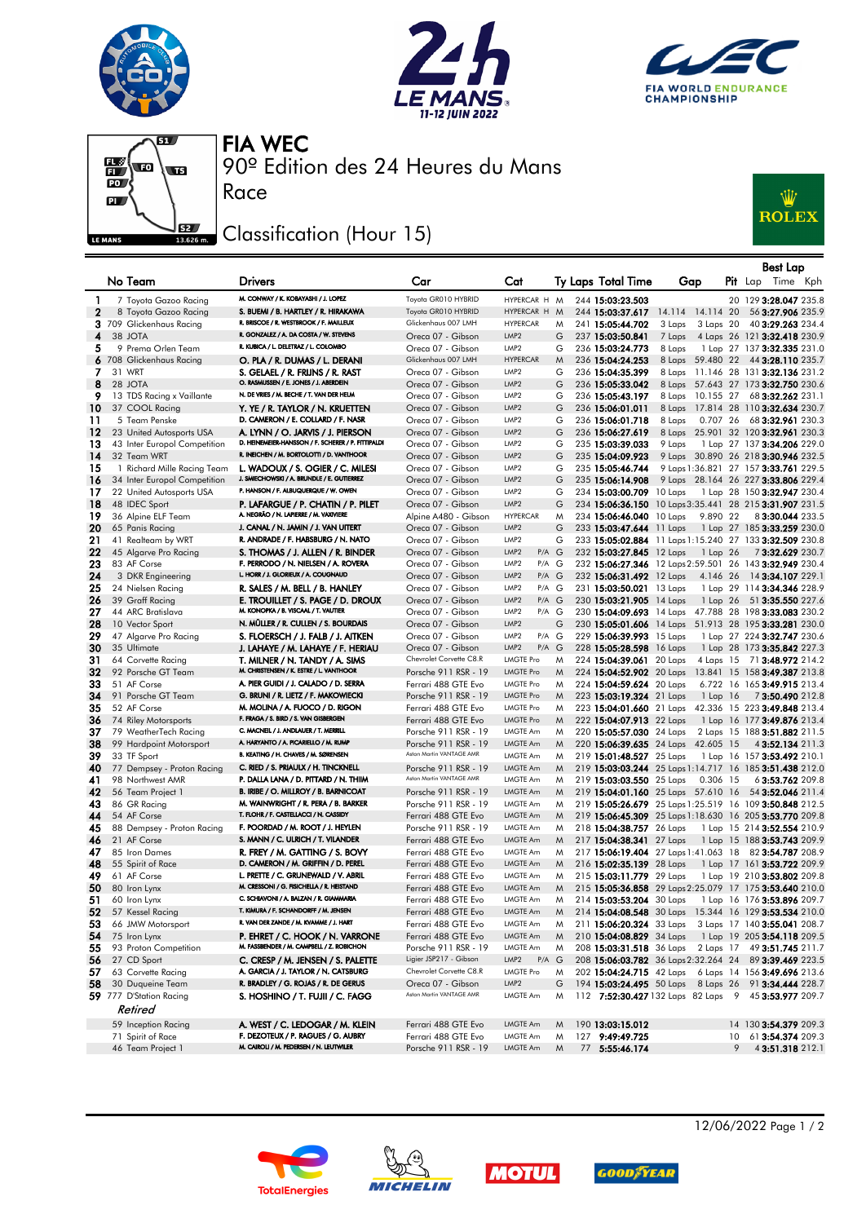







90º Edition des 24 Heures du Mans FIA WEC

## Classification (Hour 15)

Race



|          |                                                   |                                                                                        |                                                   |                                                              |        |                                                                  |                            |              | <b>Best Lap</b>                                                                                               |
|----------|---------------------------------------------------|----------------------------------------------------------------------------------------|---------------------------------------------------|--------------------------------------------------------------|--------|------------------------------------------------------------------|----------------------------|--------------|---------------------------------------------------------------------------------------------------------------|
|          | No Team                                           | <b>Drivers</b>                                                                         | Car                                               | Cat                                                          |        | Ty Laps Total Time                                               | Gap                        |              | Pit Lap Time Kph                                                                                              |
|          |                                                   |                                                                                        |                                                   |                                                              |        |                                                                  |                            |              |                                                                                                               |
| 1        | 7 Toyota Gazoo Racing                             | M. CONWAY / K. KOBAYASHI / J. LOPEZ<br>S. BUEMI / B. HARTLEY / R. HIRAKAWA             | Toyota GR010 HYBRID<br>Toyota GR010 HYBRID        | HYPERCAR H M<br>HYPERCAR H                                   | M      | 244 15:03:23.503                                                 |                            |              | 20 129 3:28.047 235.8                                                                                         |
| 2        | 8 Toyota Gazoo Racing<br>3 709 Glickenhaus Racing | R. BRISCOE / R. WESTBROOK / F. MAILLEUX                                                | Glickenhaus 007 LMH                               | <b>HYPERCAR</b>                                              | M      | 244 15:03:37.617<br>241 15:05:44.702                             | 14.114 14.114 20<br>3 Laps | 3 Laps 20    | 56 3:27.906 235.9<br>40 3:29.263 234.4                                                                        |
| 4        | 38 JOTA                                           | R. GONZALEZ / A. DA COSTA / W. STEVENS                                                 | Oreca 07 - Gibson                                 | LMP <sub>2</sub>                                             | G      | 237 15:03:50.841                                                 | 7 Laps                     |              | 4 Laps 26 121 3:32.418 230.9                                                                                  |
| 5        | 9 Prema Orlen Team                                | R. KUBICA / L. DELETRAZ / L. COLOMBO                                                   | Oreca 07 - Gibson                                 | LMP <sub>2</sub>                                             | G      | 236 15:03:24.773                                                 | 8 Laps                     |              | 1 Lap 27 137 3:32.335 231.0                                                                                   |
|          | 6 708 Glickenhaus Racing                          | O. PLA / R. DUMAS / L. DERANI                                                          | Glickenhaus 007 LMH                               | <b>HYPERCAR</b>                                              | M      | 236 15:04:24.253                                                 |                            |              | 8 Laps 59.480 22 44 3:28.110 235.7                                                                            |
| 7        | 31 WRT                                            | S. GELAEL / R. FRIJNS / R. RAST                                                        | Oreca 07 - Gibson                                 | LMP <sub>2</sub>                                             | G      | 236 15:04:35.399                                                 |                            |              | 8 Laps 11.146 28 131 3:32.136 231.2                                                                           |
| 8        | 28 JOTA                                           | O. RASMUSSEN / E. JONES / J. ABERDEIN                                                  | Oreca 07 - Gibson                                 | LMP <sub>2</sub>                                             | G      | 236 15:05:33.042                                                 |                            |              | 8 Laps 57.643 27 173 3:32.750 230.6                                                                           |
| 9        | 13 TDS Racing x Vaillante                         | N. DE VRIES / M. BECHE / T. VAN DER HELM                                               | Oreca 07 - Gibson                                 | LMP <sub>2</sub>                                             | G      | 236 15:05:43.197                                                 | 8 Laps 10.155 27           |              | 68 3:32.262 231.1                                                                                             |
| 10       | 37 COOL Racing                                    | Y. YE / R. TAYLOR / N. KRUETTEN                                                        | Oreca 07 - Gibson                                 | LMP <sub>2</sub>                                             | G      | 236 15:06:01.011                                                 |                            |              | 8 Laps 17.814 28 110 3:32.634 230.7                                                                           |
| 11       | 5 Team Penske                                     | D. CAMERON / E. COLLARD / F. NASR                                                      | Oreca 07 - Gibson                                 | LMP <sub>2</sub>                                             | G      | 236 15:06:01.718                                                 | 8 Laps                     | 0.707 26     | 683:32.961 230.3                                                                                              |
| 12       | 23 United Autosports USA                          | A. LYNN / O. JARVIS / J. PIERSON<br>D. HEINEMEIER-HANSSON / F. SCHERER / P. FITTIPALDI | Oreca 07 - Gibson                                 | LMP <sub>2</sub>                                             | G      | 236 15:06:27.619                                                 |                            |              | 8 Laps 25.901 32 120 3:32.961 230.3                                                                           |
| 13<br>14 | 43 Inter Europol Competition<br>32 Team WRT       | R. INEICHEN / M. BORTOLOTTI / D. VANTHOOR                                              | Oreca 07 - Gibson<br>Oreca 07 - Gibson            | LMP <sub>2</sub><br>LMP <sub>2</sub>                         | G<br>G | 235 15:03:39.033                                                 | 9 Laps                     |              | 1 Lap 27 137 3:34.206 229.0                                                                                   |
| 15       | 1 Richard Mille Racing Team                       | L. WADOUX / S. OGIER / C. MILESI                                                       | Oreca 07 - Gibson                                 | LMP <sub>2</sub>                                             | G      | 235 15:04:09.923<br>235 15:05:46.744                             |                            |              | 9 Laps 30.890 26 218 3:30.946 232.5<br>9 Laps 1:36.821 27 157 3:33.761 229.5                                  |
| 16       | 34 Inter Europol Competition                      | J. SMIECHOWSKI / A. BRUNDLE / E. GUTIERREZ                                             | Oreca 07 - Gibson                                 | LMP <sub>2</sub>                                             | G      | 235 15:06:14.908                                                 |                            |              | 9 Laps 28.164 26 227 3:33.806 229.4                                                                           |
| 17       | 22 United Autosports USA                          | P. HANSON / F. ALBUQUERQUE / W. OWEN                                                   | Oreca 07 - Gibson                                 | LMP <sub>2</sub>                                             | G      | 234 15:03:00.709 10 Laps                                         |                            |              | 1 Lap 28 150 3:32.947 230.4                                                                                   |
| 18       | 48 IDEC Sport                                     | P. LAFARGUE / P. CHATIN / P. PILET                                                     | Oreca 07 - Gibson                                 | LMP <sub>2</sub>                                             | G      |                                                                  |                            |              | 234 15:06:36.150 10 Laps 3:35.441 28 215 3:31.907 231.5                                                       |
| 19       | 36 Alpine ELF Team                                | A. NEGRÃO / N. LAPIERRE / M. VAXIVIERE                                                 | Alpine A480 - Gibson                              | <b>HYPERCAR</b>                                              | M      | 234 15:06:46.040 10 Laps                                         |                            | 9.890 22     | 83:30.044 233.5                                                                                               |
| 20       | 65 Panis Racing                                   | J. CANAL / N. JAMIN / J. VAN UITERT                                                    | Oreca 07 - Gibson                                 | LMP <sub>2</sub>                                             | G      | 233 15:03:47.644 11 Laps                                         |                            |              | 1 Lap 27 185 3:33.259 230.0                                                                                   |
| 21       | 41 Realteam by WRT                                | R. ANDRADE / F. HABSBURG / N. NATO                                                     | Oreca 07 - Gibson                                 | LMP <sub>2</sub>                                             | G      |                                                                  |                            |              | 233 15:05:02.884 11 Laps 1:15.240 27 133 3:32.509 230.8                                                       |
| 22       | 45 Algarve Pro Racing                             | S. THOMAS / J. ALLEN / R. BINDER                                                       | Oreca 07 - Gibson                                 | LMP <sub>2</sub><br>$P/A$ $G$                                |        | 232 15:03:27.845 12 Laps                                         |                            | 1 Lap 26     | 73:32.629 230.7                                                                                               |
| 23       | 83 AF Corse                                       | F. PERRODO / N. NIELSEN / A. ROVERA<br>L. HORR / J. GLORIEUX / A. COUGNAUD             | Oreca 07 - Gibson                                 | LMP <sub>2</sub><br>P/A G                                    |        |                                                                  |                            |              | 232 15:06:27.346 12 Laps 2:59.501 26 143 3:32.949 230.4                                                       |
| 24       | 3 DKR Engineering                                 |                                                                                        | Oreca 07 - Gibson                                 | LMP <sub>2</sub><br>$P/A$ $G$                                |        | 232 15:06:31.492 12 Laps                                         |                            |              | 4.146 26 14 3:34.107 229.1                                                                                    |
| 25<br>26 | 24 Nielsen Racing<br>39 Graff Racing              | R. SALES / M. BELL / B. HANLEY<br>E. TROUILLET / S. PAGE / D. DROUX                    | Oreca 07 - Gibson<br>Oreca 07 - Gibson            | LMP <sub>2</sub><br>$P/A$ G<br>LMP <sub>2</sub><br>$P/A$ $G$ |        | 231 15:03:50.021 13 Laps<br>230 15:03:21.905 14 Laps             |                            |              | 1 Lap 29 114 3:34.346 228.9<br>1 Lap 26 51 3:35.550 227.6                                                     |
| 27       | 44 ARC Bratislava                                 | M. KONOPKA / B. VISCAAL / T. VAUTIER                                                   | Oreca 07 - Gibson                                 | LMP <sub>2</sub><br>P/A G                                    |        |                                                                  |                            |              | 230 15:04:09.693 14 Laps 47.788 28 198 3:33.083 230.2                                                         |
| 28       | 10 Vector Sport                                   | N. MÜLLER / R. CULLEN / S. BOURDAIS                                                    | Oreca 07 - Gibson                                 | LMP <sub>2</sub>                                             | G      |                                                                  |                            |              | 230 15:05:01.606 14 Laps 51.913 28 195 3:33.281 230.0                                                         |
| 29       | 47 Algarve Pro Racing                             | S. FLOERSCH / J. FALB / J. AITKEN                                                      | Oreca 07 - Gibson                                 | LMP <sub>2</sub><br>P/A G                                    |        | 229 15:06:39.993 15 Laps                                         |                            |              | 1 Lap 27 224 3:32.747 230.6                                                                                   |
| 30       | 35 Ultimate                                       | J. LAHAYE / M. LAHAYE / F. HERIAU                                                      | Oreca 07 - Gibson                                 | LMP <sub>2</sub><br>$P/A$ $G$                                |        | 228 15:05:28.598 16 Laps                                         |                            |              | 1 Lap 28 173 3:35.842 227.3                                                                                   |
| 31       | 64 Corvette Racing                                | T. MILNER / N. TANDY / A. SIMS                                                         | Chevrolet Corvette C8.R                           | <b>LMGTE Pro</b>                                             | M      | 224 15:04:39.061 20 Laps                                         |                            | 4 Laps 15    | 71 3:48.972 214.2                                                                                             |
| 32       | 92 Porsche GT Team                                | M. CHRISTENSEN / K. ESTRE / L. VANTHOOR                                                | Porsche 911 RSR - 19                              | <b>LMGTE Pro</b>                                             | M      | 224 15:04:52.902 20 Laps                                         |                            |              | 13.841 15 158 3:49.387 213.8                                                                                  |
| 33       | 51 AF Corse                                       | A. PIER GUIDI / J. CALADO / D. SERRA                                                   | Ferrari 488 GTE Evo                               | <b>LMGTE Pro</b>                                             | M      | 224 15:04:59.624 20 Laps                                         |                            |              | 6.722 16 165 3:49.915 213.4                                                                                   |
| 34       | 91 Porsche GT Team                                | G. BRUNI / R. LIETZ / F. MAKOWIECKI                                                    | Porsche 911 RSR - 19                              | <b>LMGTE Pro</b>                                             | M      | 223 15:03:19.324 21 Laps                                         |                            | $1$ Lap $16$ | 73:50.490 212.8                                                                                               |
| 35       | 52 AF Corse                                       | M. MOLINA / A. FUOCO / D. RIGON<br>F. FRAGA / S. BIRD / S. VAN GISBERGEN               | Ferrari 488 GTE Evo                               | <b>LMGTE Pro</b><br><b>LMGTE Pro</b>                         | M      | 223 15:04:01.660 21 Laps                                         |                            |              | 42.336 15 223 3:49.848 213.4                                                                                  |
| 36<br>37 | 74 Riley Motorsports<br>79 WeatherTech Racing     | C. MACNEIL / J. ANDLAUER / T. MERRILL                                                  | Ferrari 488 GTE Evo<br>Porsche 911 RSR - 19       | LMGTE Am                                                     | M<br>M | 222 15:04:07.913 22 Laps<br>220 15:05:57.030 24 Laps             |                            |              | 1 Lap 16 177 3:49.876 213.4<br>2 Laps 15 188 3:51.882 211.5                                                   |
| 38       | 99 Hardpoint Motorsport                           | A. HARYANTO / A. PICARIELLO / M. RUMP                                                  | Porsche 911 RSR - 19                              | LMGTE Am                                                     | M      | 220 15:06:39.635 24 Laps 42.605 15                               |                            |              | 4 3:52.134 211.3                                                                                              |
| 39       | 33 TF Sport                                       | B. KEATING / H. CHAVES / M. SØRENSEN                                                   | Aston Martin VANTAGE AMR                          | LMGTE Am                                                     | M      | 219 15:01:48.527 25 Laps                                         |                            |              | 1 Lap 16 157 3:53.492 210.1                                                                                   |
| 40       | 77 Dempsey - Proton Racing                        | C. RIED / S. PRIAULX / H. TINCKNELL                                                    | Porsche 911 RSR - 19                              | <b>LMGTE Am</b>                                              | M      |                                                                  |                            |              | 219 15:03:03.244 25 Laps 1:14.717 16 185 3:51.438 212.0                                                       |
| 41       | 98 Northwest AMR                                  | P. DALLA LANA / D. PITTARD / N. THIIM                                                  | Aston Martin VANTAGE AMR                          | LMGTE Am                                                     | M      | 219 15:03:03.550 25 Laps                                         |                            | 0.306 15     | 63:53.762 209.8                                                                                               |
| 42       | 56 Team Project 1                                 | B. IRIBE / O. MILLROY / B. BARNICOAT                                                   | Porsche 911 RSR - 19                              | LMGTE Am                                                     | M      | 219 15:04:01.160 25 Laps 57.610 16                               |                            |              | 54 3:52.046 211.4                                                                                             |
| 43       | 86 GR Racing                                      | M. WAINWRIGHT / R. PERA / B. BARKER                                                    | Porsche 911 RSR - 19                              | LMGTE Am                                                     | M      |                                                                  |                            |              | 219 15:05:26.679 25 Laps 1:25.519 16 109 3:50.848 212.5                                                       |
| 44       | 54 AF Corse                                       | T. FLOHR / F. CASTELLACCI / N. CASSIDY                                                 | Ferrari 488 GTE Evo                               | <b>LMGTE Am</b>                                              | M      |                                                                  |                            |              | 219 15:06:45.309 25 Laps 1:18.630 16 205 3:53.770 209.8                                                       |
| 45       | 88 Dempsey - Proton Racing                        | F. POORDAD / M. ROOT / J. HEYLEN<br>S. MANN / C. ULRICH / T. VILANDER                  | Porsche 911 RSR - 19                              | LMGTE Am                                                     | M      | 218 15:04:38.757 26 Laps                                         |                            |              | 1 Lap 15 214 3:52.554 210.9                                                                                   |
| 46<br>47 | 21 AF Corse<br>85 Iron Dames                      | R. FREY / M. GATTING / S. BOVY                                                         | Ferrari 488 GTE Evo<br>Ferrari 488 GTE Evo        | LMGTE Am<br>LMGTE Am                                         | M<br>M | 217 15:04:38.341 27 Laps<br>217 15:06:19.404 27 Laps 1:41.063 18 |                            |              | 1 Lap 15 188 3:53.743 209.9<br>82 3:54.787 208.9                                                              |
| 48       | 55 Spirit of Race                                 | D. CAMERON / M. GRIFFIN / D. PEREL                                                     | Ferrari 488 GTE Evo                               | <b>LMGTE Am</b>                                              | M      | 216 15:02:35.139 28 Laps                                         |                            |              | 1 Lap 17 161 3:53.722 209.9                                                                                   |
| 49       | 61 AF Corse                                       | L. PRETTE / C. GRUNEWALD / V. ABRIL                                                    | Ferrari 488 GTE Evo                               | LMGTE Am                                                     | M      | 215 15:03:11.779 29 Laps                                         |                            |              | 1 Lap 19 210 3:53.802 209.8                                                                                   |
| 50       | 80 Iron Lynx                                      | M. CRESSONI / G. FISICHELLA / R. HEISTAND                                              | Ferrari 488 GTE Evo                               | <b>LMGTE Am</b>                                              | M      |                                                                  |                            |              | 215 15:05:36.858 29 Laps 2:25.079 17 175 3:53.640 210.0                                                       |
| 51       | 60 Iron Lynx                                      | C. SCHIAVONI / A. BALZAN / R. GIAMMARIA                                                | Ferrari 488 GTE Evo                               | <b>LMGTE Am</b>                                              | M      | 214 15:03:53.204 30 Laps                                         |                            |              | 1 Lap 16 176 3:53.896 209.7                                                                                   |
| 52       | 57 Kessel Racing                                  | T. KIMURA / F. SCHANDORFF / M. JENSEN                                                  | Ferrari 488 GTE Evo                               | LMGTE Am                                                     | M      |                                                                  |                            |              | 214 15:04:08.548 30 Laps 15.344 16 129 3:53.534 210.0                                                         |
| 53       | 66 JMW Motorsport                                 | R. VAN DER ZANDE / M. KVAMME / J. HART                                                 | Ferrari 488 GTE Evo                               | LMGTE Am                                                     | M      | 211 15:06:20.324 33 Laps                                         |                            |              | 3 Laps 17 140 3:55.041 208.7                                                                                  |
| 54       | 75 Iron Lynx                                      | P. EHRET / C. HOOK / N. VARRONE                                                        | Ferrari 488 GTE Evo                               | LMGTE Am                                                     | M      | 210 15:04:08.829 34 Laps                                         |                            |              | 1 Lap 19 205 3:54.118 209.5                                                                                   |
| 55       | 93 Proton Competition                             | M. FASSBENDER / M. CAMPBELL / Z. ROBICHON                                              | Porsche 911 RSR - 19                              | LMGTE Am                                                     | M      | 208 15:03:31.518 36 Laps                                         |                            |              | 2 Laps 17 49 3:51.745 211.7                                                                                   |
| 56       | 27 CD Sport                                       | C. CRESP / M. JENSEN / S. PALETTE<br>A. GARCIA / J. TAYLOR / N. CATSBURG               | Ligier JSP217 - Gibson<br>Chevrolet Corvette C8.R | LMP <sub>2</sub><br>$P/A$ $G$                                |        |                                                                  |                            |              | 208 15:06:03.782 36 Laps2:32.264 24 89 3:39.469 223.5                                                         |
| 57<br>58 | 63 Corvette Racing<br>30 Duqueine Team            | R. BRADLEY / G. ROJAS / R. DE GERUS                                                    | Oreca 07 - Gibson                                 | <b>LMGTE Pro</b><br>LMP <sub>2</sub>                         | M<br>G |                                                                  |                            |              | 202 15:04:24.715 42 Laps 6 Laps 14 156 3:49.696 213.6<br>194 15:03:24.495 50 Laps 8 Laps 26 91 3:34.444 228.7 |
|          | 59 777 D'Station Racing                           | S. HOSHINO / T. FUJII / C. FAGG                                                        | Aston Martin VANTAGE AMR                          | LMGTE Am                                                     | M      |                                                                  |                            |              | 112 7:52:30.427 132 Laps 82 Laps 9 45 3:53.977 209.7                                                          |
|          | Retired                                           |                                                                                        |                                                   |                                                              |        |                                                                  |                            |              |                                                                                                               |
|          | 59 Inception Racing                               | A. WEST / C. LEDOGAR / M. KLEIN                                                        | Ferrari 488 GTE Evo                               | LMGTE Am                                                     | M      | 190 13:03:15.012                                                 |                            |              | 14 130 3:54.379 209.3                                                                                         |
|          | 71 Spirit of Race                                 | F. DEZOTEUX / P. RAGUES / G. AUBRY                                                     | Ferrari 488 GTE Evo                               | LMGTE Am                                                     | Μ      | 127 9:49:49.725                                                  |                            | 10           | 61 3:54.374 209.3                                                                                             |
|          | 46 Team Project 1                                 | M. CAIROLI / M. PEDERSEN / N. LEUTWILER                                                | Porsche 911 RSR - 19                              | LMGTE Am                                                     | M      | 77 5:55:46.174                                                   |                            | 9            | 43:51.318 212.1                                                                                               |
|          |                                                   |                                                                                        |                                                   |                                                              |        |                                                                  |                            |              |                                                                                                               |